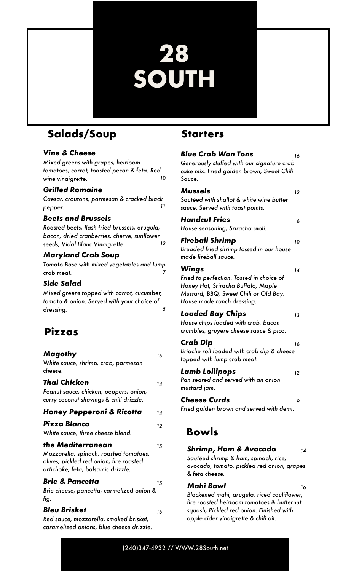# **28 SOUTH**

# **Salads/Soup**

### *Vine & Cheese*

*Mixed greens with grapes, heirloom tomatoes, carrot, toasted pecan & feta. Red wine vinaigrette. 10*

### *Grilled Romaine*

*Caesar, croutons, parmesan & cracked black pepper. 11*

### *Beets and Brussels*

*Roasted beets, flash fried brussels, arugula, bacon, dried cranberries, cherve, sunflower seeds, Vidal Blanc Vinaigrette. 12*

### *Maryland Crab Soup*

*Tomato Base with mixed vegetables and lump crab meat. 7*

### *Side Salad*

*Mixed greens topped with carrot, cucumber, tomato & onion. Served with your choice of dressing. 5*

### **Pizzas**

| Magothy<br>White sauce, shrimp, crab, parmesan<br>cheese.                                                                                    | 15 |
|----------------------------------------------------------------------------------------------------------------------------------------------|----|
| Thai Chicken<br>Peanut sauce, chicken, peppers, onion,<br>curry coconut shavings & chili drizzle.                                            | 14 |
| Honey Pepperoni & Ricotta                                                                                                                    | 14 |
| Pizza Blanco<br>White sauce, three cheese blend.                                                                                             | 12 |
| the Mediterranean<br>Mozzarella, spinach, roasted tomatoes,<br>olives, pickled red onion, fire roasted<br>artichoke, feta, balsamic drizzle. | 15 |
| <b>Brie &amp; Pancetta</b><br>Brie cheese, pancetta, carmelized onion &                                                                      | 15 |

*fig.*

### *Bleu Brisket <sup>15</sup>*

*Red sauce, mozzarella, smoked brisket, caramelized onions, blue cheese drizzle.*

### **Starters**

| <b>Blue Crab Won Tons</b><br>Generously stuffed with our signature crab<br>cake mix. Fried golden brown, Sweet Chili<br>Sauce.                                 | 16 |
|----------------------------------------------------------------------------------------------------------------------------------------------------------------|----|
| Mussels<br>Sautéed with shallot & white wine butter<br>sauce. Served with toast points.                                                                        | 12 |
| <b>Handcut Fries</b><br>House seasoning, Sriracha aioli.                                                                                                       | 6  |
| Fireball Shrimp<br>Breaded fried shrimp tossed in our house<br>made fireball sauce.                                                                            | 10 |
| Wings<br>Fried to perfection. Tossed in choice of<br>Honey Hot, Sriracha Buffalo, Maple<br>Mustard, BBQ, Sweet Chili or Old Bay.<br>House made ranch dressing. | 14 |
| <b>Loaded Bay Chips</b><br>House chips loaded with crab, bacon<br>crumbles, gruyere cheese sauce & pico.                                                       | 13 |
| Crab Dip<br>Brioche roll loaded with crab dip & cheese<br>topped with lump crab meat.                                                                          | 16 |
| Lamb Lollipops<br>Pan seared and served with an onion<br>mustard jam.                                                                                          | 12 |
| <b>Cheese Curds</b><br>Fried golden brown and served with demi.                                                                                                | 9  |
| Bowls                                                                                                                                                          |    |
| Shrimp, Ham & Avocado<br>Sautéed shrimp & ham, spinach, rice,<br>avocado, tomato, pickled red onion, grapes<br>& feta cheese.                                  | 14 |

#### *Mahi Bowl <sup>16</sup>*

*Blackened mahi, arugula, riced cauliflower, fire roasted heirloom tomatoes & butternut squash, Pickled red onion. Finished with apple cider vinaigrette & chili oil.*